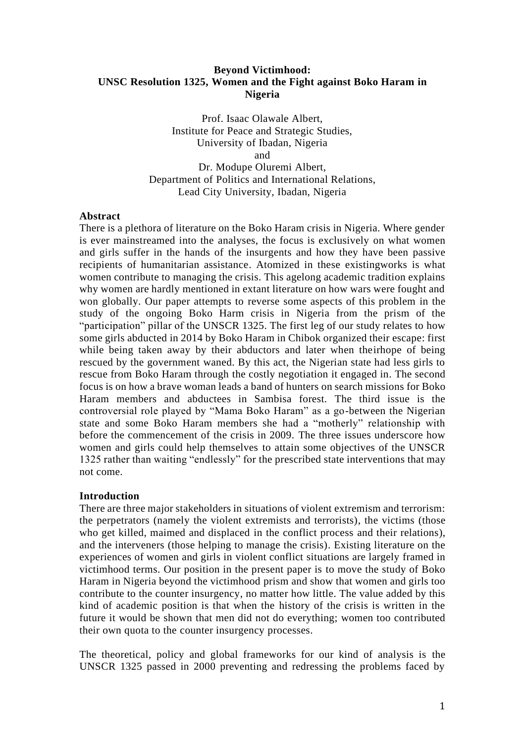# **Beyond Victimhood: UNSC Resolution 1325, Women and the Fight against Boko Haram in Nigeria**

Prof. Isaac Olawale Albert, Institute for Peace and Strategic Studies, University of Ibadan, Nigeria and Dr. Modupe Oluremi Albert, Department of Politics and International Relations, Lead City University, Ibadan, Nigeria

#### **Abstract**

There is a plethora of literature on the Boko Haram crisis in Nigeria. Where gender is ever mainstreamed into the analyses, the focus is exclusively on what women and girls suffer in the hands of the insurgents and how they have been passive recipients of humanitarian assistance. Atomized in these existingworks is what women contribute to managing the crisis. This agelong academic tradition explains why women are hardly mentioned in extant literature on how wars were fought and won globally. Our paper attempts to reverse some aspects of this problem in the study of the ongoing Boko Harm crisis in Nigeria from the prism of the "participation" pillar of the UNSCR 1325. The first leg of our study relates to how some girls abducted in 2014 by Boko Haram in Chibok organized their escape: first while being taken away by their abductors and later when theirhope of being rescued by the government waned. By this act, the Nigerian state had less girls to rescue from Boko Haram through the costly negotiation it engaged in. The second focus is on how a brave woman leads a band of hunters on search missions for Boko Haram members and abductees in Sambisa forest. The third issue is the controversial role played by "Mama Boko Haram" as a go-between the Nigerian state and some Boko Haram members she had a "motherly" relationship with before the commencement of the crisis in 2009. The three issues underscore how women and girls could help themselves to attain some objectives of the UNSCR 1325 rather than waiting "endlessly" for the prescribed state interventions that may not come.

## **Introduction**

There are three major stakeholders in situations of violent extremism and terrorism: the perpetrators (namely the violent extremists and terrorists), the victims (those who get killed, maimed and displaced in the conflict process and their relations), and the interveners (those helping to manage the crisis). Existing literature on the experiences of women and girls in violent conflict situations are largely framed in victimhood terms. Our position in the present paper is to move the study of Boko Haram in Nigeria beyond the victimhood prism and show that women and girls too contribute to the counter insurgency, no matter how little. The value added by this kind of academic position is that when the history of the crisis is written in the future it would be shown that men did not do everything; women too contributed their own quota to the counter insurgency processes.

The theoretical, policy and global frameworks for our kind of analysis is the UNSCR 1325 passed in 2000 preventing and redressing the problems faced by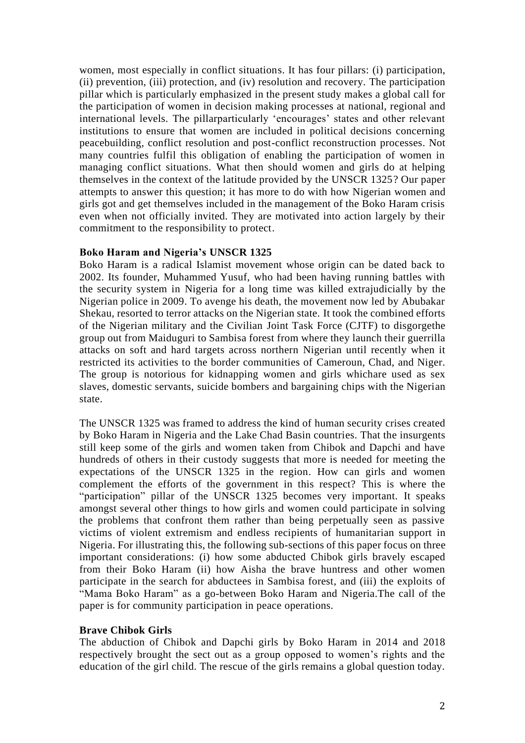women, most especially in conflict situations. It has four pillars: (i) participation, (ii) prevention, (iii) protection, and (iv) resolution and recovery. The participation pillar which is particularly emphasized in the present study makes a global call for the participation of women in decision making processes at national, regional and international levels. The pillarparticularly 'encourages' states and other relevant institutions to ensure that women are included in political decisions concerning peacebuilding, conflict resolution and post-conflict reconstruction processes. Not many countries fulfil this obligation of enabling the participation of women in managing conflict situations. What then should women and girls do at helping themselves in the context of the latitude provided by the UNSCR 1325? Our paper attempts to answer this question; it has more to do with how Nigerian women and girls got and get themselves included in the management of the Boko Haram crisis even when not officially invited. They are motivated into action largely by their commitment to the responsibility to protect.

#### **Boko Haram and Nigeria's UNSCR 1325**

Boko Haram is a radical Islamist movement whose origin can be dated back to 2002. Its founder, Muhammed Yusuf, who had been having running battles with the security system in Nigeria for a long time was killed extrajudicially by the Nigerian police in 2009. To avenge his death, the movement now led by Abubakar Shekau, resorted to terror attacks on the Nigerian state. It took the combined efforts of the Nigerian military and the Civilian Joint Task Force (CJTF) to disgorgethe group out from Maiduguri to Sambisa forest from where they launch their guerrilla attacks on soft and hard targets across northern Nigerian until recently when it restricted its activities to the border communities of Cameroun, Chad, and Niger. The group is notorious for kidnapping women and girls whichare used as sex slaves, domestic servants, suicide bombers and bargaining chips with the Nigerian state.

The UNSCR 1325 was framed to address the kind of human security crises created by Boko Haram in Nigeria and the Lake Chad Basin countries. That the insurgents still keep some of the girls and women taken from Chibok and Dapchi and have hundreds of others in their custody suggests that more is needed for meeting the expectations of the UNSCR 1325 in the region. How can girls and women complement the efforts of the government in this respect? This is where the "participation" pillar of the UNSCR 1325 becomes very important. It speaks amongst several other things to how girls and women could participate in solving the problems that confront them rather than being perpetually seen as passive victims of violent extremism and endless recipients of humanitarian support in Nigeria. For illustrating this, the following sub-sections of this paper focus on three important considerations: (i) how some abducted Chibok girls bravely escaped from their Boko Haram (ii) how Aisha the brave huntress and other women participate in the search for abductees in Sambisa forest, and (iii) the exploits of "Mama Boko Haram" as a go-between Boko Haram and Nigeria.The call of the paper is for community participation in peace operations.

## **Brave Chibok Girls**

The abduction of Chibok and Dapchi girls by Boko Haram in 2014 and 2018 respectively brought the sect out as a group opposed to women's rights and the education of the girl child. The rescue of the girls remains a global question today.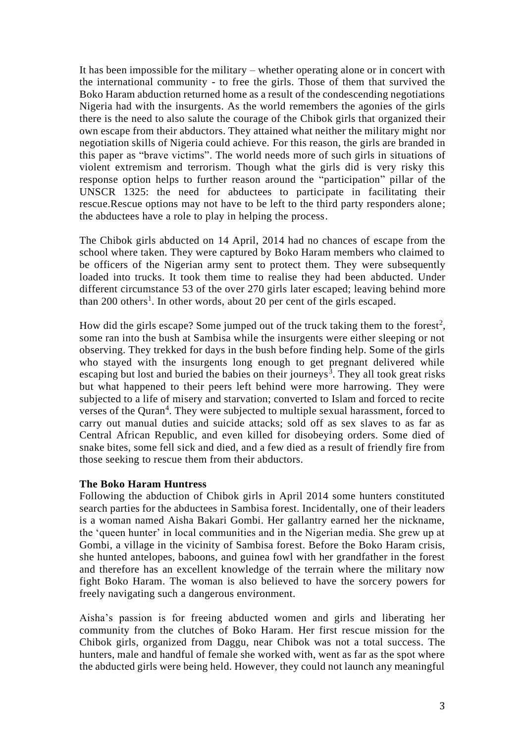It has been impossible for the military – whether operating alone or in concert with the international community - to free the girls. Those of them that survived the Boko Haram abduction returned home as a result of the condescending negotiations Nigeria had with the insurgents. As the world remembers the agonies of the girls there is the need to also salute the courage of the Chibok girls that organized their own escape from their abductors. They attained what neither the military might nor negotiation skills of Nigeria could achieve. For this reason, the girls are branded in this paper as "brave victims". The world needs more of such girls in situations of violent extremism and terrorism. Though what the girls did is very risky this response option helps to further reason around the "participation" pillar of the UNSCR 1325: the need for abductees to participate in facilitating their rescue.Rescue options may not have to be left to the third party responders alone; the abductees have a role to play in helping the process.

The Chibok girls abducted on 14 April, 2014 had no chances of escape from the school where taken. They were captured by Boko Haram members who claimed to be officers of the Nigerian army sent to protect them. They were subsequently loaded into trucks. It took them time to realise they had been abducted. Under different circumstance 53 of the over 270 girls later escaped; leaving behind more than 200 others<sup>1</sup>. In other words, about 20 per cent of the girls escaped.

How did the girls escape? Some jumped out of the truck taking them to the forest<sup>2</sup>, some ran into the bush at Sambisa while the insurgents were either sleeping or not observing. They trekked for days in the bush before finding help. Some of the girls who stayed with the insurgents long enough to get pregnant delivered while escaping but lost and buried the babies on their journeys<sup>3</sup>. They all took great risks but what happened to their peers left behind were more harrowing. They were subjected to a life of misery and starvation; converted to Islam and forced to recite verses of the Quran<sup>4</sup>. They were subjected to multiple sexual harassment, forced to carry out manual duties and suicide attacks; sold off as sex slaves to as far as Central African Republic, and even killed for disobeying orders. Some died of snake bites, some fell sick and died, and a few died as a result of friendly fire from those seeking to rescue them from their abductors.

## **The Boko Haram Huntress**

Following the abduction of Chibok girls in April 2014 some hunters constituted search parties for the abductees in Sambisa forest. Incidentally, one of their leaders is a woman named Aisha Bakari Gombi. Her gallantry earned her the nickname, the 'queen hunter' in local communities and in the Nigerian media. She grew up at Gombi, a village in the vicinity of Sambisa forest. Before the Boko Haram crisis, she hunted antelopes, baboons, and guinea fowl with her grandfather in the forest and therefore has an excellent knowledge of the terrain where the military now fight Boko Haram. The woman is also believed to have the sorcery powers for freely navigating such a dangerous environment.

Aisha's passion is for freeing abducted women and girls and liberating her community from the clutches of Boko Haram. Her first rescue mission for the Chibok girls, organized from Daggu, near Chibok was not a total success. The hunters, male and handful of female she worked with, went as far as the spot where the abducted girls were being held. However, they could not launch any meaningful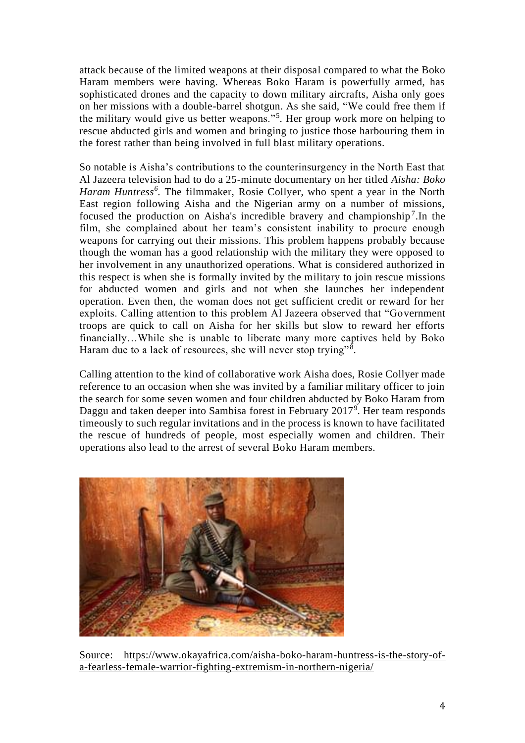attack because of the limited weapons at their disposal compared to what the Boko Haram members were having. Whereas Boko Haram is powerfully armed, has sophisticated drones and the capacity to down military aircrafts, Aisha only goes on her missions with a double-barrel shotgun. As she said, "We could free them if the military would give us better weapons."<sup>5</sup> . Her group work more on helping to rescue abducted girls and women and bringing to justice those harbouring them in the forest rather than being involved in full blast military operations.

So notable is Aisha's contributions to the counterinsurgency in the North East that Al Jazeera television had to do a 25-minute documentary on her titled *Aisha: Boko Haram Huntress<sup>6</sup> .* The filmmaker, Rosie Collyer, who spent a year in the North East region following Aisha and the Nigerian army on a number of missions, focused the production on Aisha's incredible bravery and championship<sup>7</sup>. In the film, she complained about her team's consistent inability to procure enough weapons for carrying out their missions. This problem happens probably because though the woman has a good relationship with the military they were opposed to her involvement in any unauthorized operations. What is considered authorized in this respect is when she is formally invited by the military to join rescue missions for abducted women and girls and not when she launches her independent operation. Even then, the woman does not get sufficient credit or reward for her exploits. Calling attention to this problem Al Jazeera observed that "Government troops are quick to call on Aisha for her skills but slow to reward her efforts financially…While she is unable to liberate many more captives held by Boko Haram due to a lack of resources, she will never stop trying"<sup>8</sup>.

Calling attention to the kind of collaborative work Aisha does, Rosie Collyer made reference to an occasion when she was invited by a familiar military officer to join the search for some seven women and four children abducted by Boko Haram from Daggu and taken deeper into Sambisa forest in February  $2017<sup>9</sup>$ . Her team responds timeously to such regular invitations and in the process is known to have facilitated the rescue of hundreds of people, most especially women and children. Their operations also lead to the arrest of several Boko Haram members.



Source: https://www.okayafrica.com/aisha-boko-haram-huntress-is-the-story-ofa-fearless-female-warrior-fighting-extremism-in-northern-nigeria/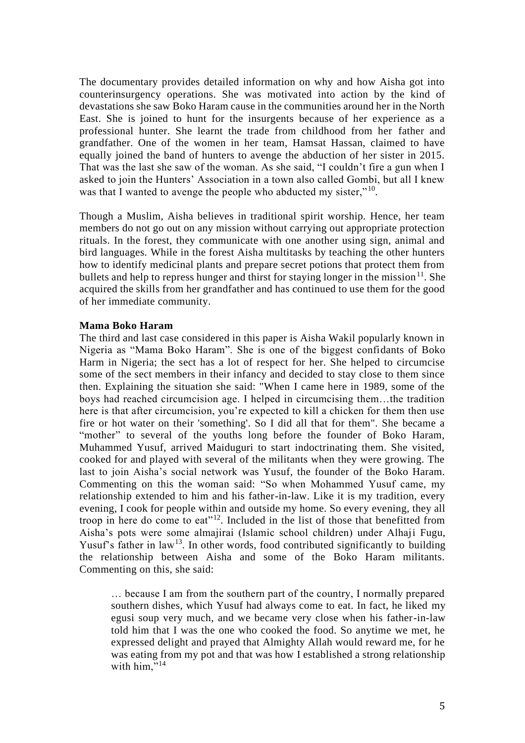The documentary provides detailed information on why and how Aisha got into counterinsurgency operations. She was motivated into action by the kind of devastations she saw Boko Haram cause in the communities around her in the North East. She is joined to hunt for the insurgents because of her experience as a professional hunter. She learnt the trade from childhood from her father and grandfather. One of the women in her team, Hamsat Hassan, claimed to have equally joined the band of hunters to avenge the abduction of her sister in 2015. That was the last she saw of the woman. As she said, "I couldn't fire a gun when I asked to join the Hunters' Association in a town also called Gombi, but all I knew was that I wanted to avenge the people who abducted my sister," $10$ .

Though a Muslim, Aisha believes in traditional spirit worship. Hence, her team members do not go out on any mission without carrying out appropriate protection rituals. In the forest, they communicate with one another using sign, animal and bird languages. While in the forest Aisha multitasks by teaching the other hunters how to identify medicinal plants and prepare secret potions that protect them from bullets and help to repress hunger and thirst for staying longer in the mission  $11$ . She acquired the skills from her grandfather and has continued to use them for the good of her immediate community.

## **Mama Boko Haram**

The third and last case considered in this paper is Aisha Wakil popularly known in Nigeria as "Mama Boko Haram". She is one of the biggest confidants of Boko Harm in Nigeria; the sect has a lot of respect for her. She helped to circumcise some of the sect members in their infancy and decided to stay close to them since then. Explaining the situation she said: "When I came here in 1989, some of the boys had reached circumcision age. I helped in circumcising them…the tradition here is that after circumcision, you're expected to kill a chicken for them then use fire or hot water on their 'something'. So I did all that for them". She became a "mother" to several of the youths long before the founder of Boko Haram, Muhammed Yusuf, arrived Maiduguri to start indoctrinating them. She visited, cooked for and played with several of the militants when they were growing. The last to join Aisha's social network was Yusuf, the founder of the Boko Haram. Commenting on this the woman said: "So when Mohammed Yusuf came, my relationship extended to him and his father-in-law. Like it is my tradition, every evening, I cook for people within and outside my home. So every evening, they all troop in here do come to eat"<sup>12</sup>. Included in the list of those that benefitted from Aisha's pots were some almajirai (Islamic school children) under Alhaji Fugu, Yusuf's father in law<sup>13</sup>. In other words, food contributed significantly to building the relationship between Aisha and some of the Boko Haram militants. Commenting on this, she said:

… because I am from the southern part of the country, I normally prepared southern dishes, which Yusuf had always come to eat. In fact, he liked my egusi soup very much, and we became very close when his father-in-law told him that I was the one who cooked the food. So anytime we met, he expressed delight and prayed that Almighty Allah would reward me, for he was eating from my pot and that was how I established a strong relationship with him,"14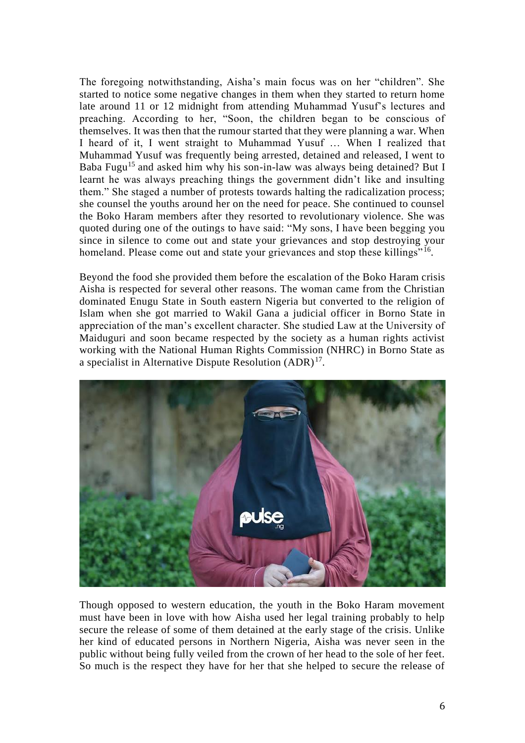The foregoing notwithstanding, Aisha's main focus was on her "children". She started to notice some negative changes in them when they started to return home late around 11 or 12 midnight from attending Muhammad Yusuf's lectures and preaching. According to her, "Soon, the children began to be conscious of themselves. It was then that the rumour started that they were planning a war. When I heard of it, I went straight to Muhammad Yusuf … When I realized that Muhammad Yusuf was frequently being arrested, detained and released, I went to Baba Fugu<sup>15</sup> and asked him why his son-in-law was always being detained? But I learnt he was always preaching things the government didn't like and insulting them." She staged a number of protests towards halting the radicalization process; she counsel the youths around her on the need for peace. She continued to counsel the Boko Haram members after they resorted to revolutionary violence. She was quoted during one of the outings to have said: "My sons, I have been begging you since in silence to come out and state your grievances and stop destroying your homeland. Please come out and state your grievances and stop these killings"<sup>16</sup>.

Beyond the food she provided them before the escalation of the Boko Haram crisis Aisha is respected for several other reasons. The woman came from the Christian dominated Enugu State in South eastern Nigeria but converted to the religion of Islam when she got married to Wakil Gana a judicial officer in Borno State in appreciation of the man's excellent character. She studied Law at the University of Maiduguri and soon became respected by the society as a human rights activist working with the National Human Rights Commission (NHRC) in Borno State as a specialist in Alternative Dispute Resolution  $(ADR)^{17}$ .



Though opposed to western education, the youth in the Boko Haram movement must have been in love with how Aisha used her legal training probably to help secure the release of some of them detained at the early stage of the crisis. Unlike her kind of educated persons in Northern Nigeria, Aisha was never seen in the public without being fully veiled from the crown of her head to the sole of her feet. So much is the respect they have for her that she helped to secure the release of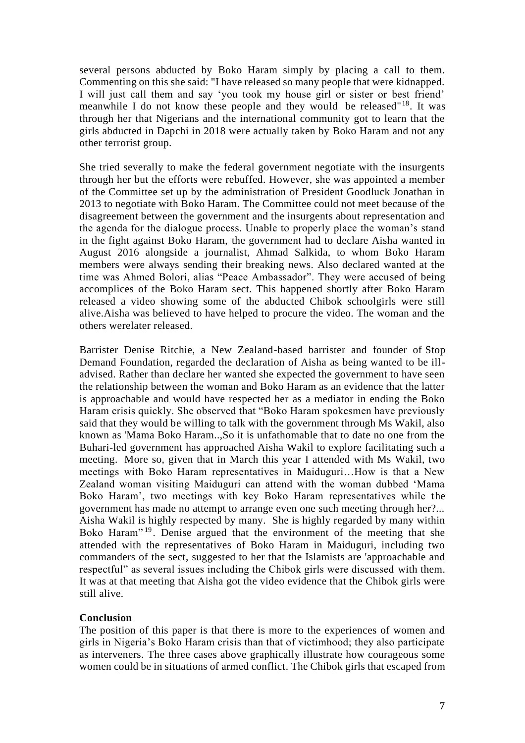several persons abducted by Boko Haram simply by placing a call to them. Commenting on this she said: "I have released so many people that were kidnapped. I will just call them and say 'you took my house girl or sister or best friend' meanwhile I do not know these people and they would be released"<sup>18</sup>. It was through her that Nigerians and the international community got to learn that the girls abducted in Dapchi in 2018 were actually taken by Boko Haram and not any other terrorist group.

She tried severally to make the federal government negotiate with the insurgents through her but the efforts were rebuffed. However, she was appointed a member of the Committee set up by the administration of President Goodluck Jonathan in 2013 to negotiate with Boko Haram. The Committee could not meet because of the disagreement between the government and the insurgents about representation and the agenda for the dialogue process. Unable to properly place the woman's stand in the fight against Boko Haram, the government had to declare Aisha wanted in August 2016 alongside a journalist, Ahmad Salkida, to whom Boko Haram members were always sending their breaking news. Also declared wanted at the time was Ahmed Bolori, alias "Peace Ambassador". They were accused of being accomplices of the Boko Haram sect. This happened shortly after Boko Haram released a video showing some of the abducted Chibok schoolgirls were still alive.Aisha was believed to have helped to procure the video. The woman and the others werelater released.

Barrister Denise Ritchie, a New Zealand-based barrister and founder of Stop Demand Foundation, regarded the declaration of Aisha as being wanted to be illadvised. Rather than declare her wanted she expected the government to have seen the relationship between the woman and Boko Haram as an evidence that the latter is approachable and would have respected her as a mediator in ending the Boko Haram crisis quickly. She observed that "Boko Haram spokesmen have previously said that they would be willing to talk with the government through Ms Wakil, also known as 'Mama Boko Haram..,So it is unfathomable that to date no one from the Buhari-led government has approached Aisha Wakil to explore facilitating such a meeting. More so, given that in March this year I attended with Ms Wakil, two meetings with Boko Haram representatives in Maiduguri…How is that a New Zealand woman visiting Maiduguri can attend with the woman dubbed 'Mama Boko Haram', two meetings with key Boko Haram representatives while the government has made no attempt to arrange even one such meeting through her?... Aisha Wakil is highly respected by many. She is highly regarded by many within Boko Haram"<sup>19</sup>. Denise argued that the environment of the meeting that she attended with the representatives of Boko Haram in Maiduguri, including two commanders of the sect, suggested to her that the Islamists are 'approachable and respectful" as several issues including the Chibok girls were discussed with them. It was at that meeting that Aisha got the video evidence that the Chibok girls were still alive.

#### **Conclusion**

The position of this paper is that there is more to the experiences of women and girls in Nigeria's Boko Haram crisis than that of victimhood; they also participate as interveners. The three cases above graphically illustrate how courageous some women could be in situations of armed conflict. The Chibok girls that escaped from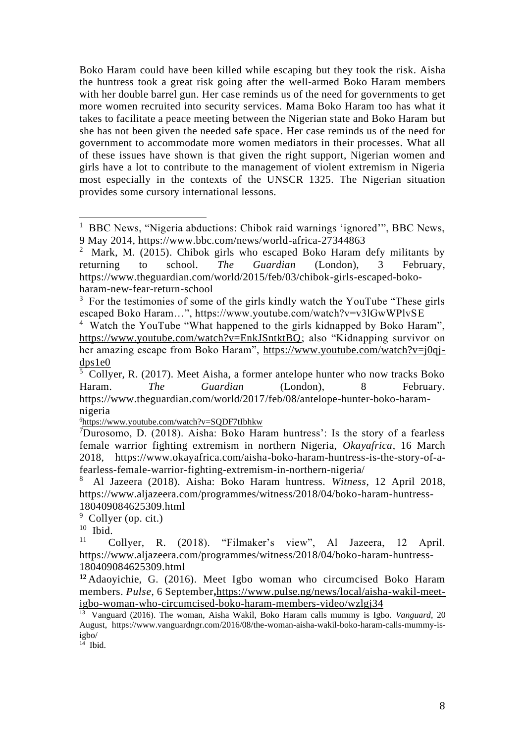Boko Haram could have been killed while escaping but they took the risk. Aisha the huntress took a great risk going after the well-armed Boko Haram members with her double barrel gun. Her case reminds us of the need for governments to get more women recruited into security services. Mama Boko Haram too has what it takes to facilitate a peace meeting between the Nigerian state and Boko Haram but she has not been given the needed safe space. Her case reminds us of the need for government to accommodate more women mediators in their processes. What all of these issues have shown is that given the right support, Nigerian women and girls have a lot to contribute to the management of violent extremism in Nigeria most especially in the contexts of the UNSCR 1325. The Nigerian situation provides some cursory international lessons.

<sup>6</sup><https://www.youtube.com/watch?v=SQDF7tIbhkw>

<sup>9</sup> Collyer (op. cit.)

 $10$  Ibid.

11 Collyer, R. (2018). "Filmaker's view", Al Jazeera, 12 April. https://www.aljazeera.com/programmes/witness/2018/04/boko-haram-huntress-180409084625309.html

**<sup>12</sup>** Adaoyichie, G. (2016). Meet Igbo woman who circumcised Boko Haram members. *Pulse*, 6 September**,**[https://www.pulse.ng/news/local/aisha-wakil-meet](https://www.pulse.ng/news/local/aisha-wakil-meet-igbo-woman-who-circumcised-boko-haram-members-video/wzlgj34)[igbo-woman-who-circumcised-boko-haram-members-video/wzlgj34](https://www.pulse.ng/news/local/aisha-wakil-meet-igbo-woman-who-circumcised-boko-haram-members-video/wzlgj34)

<sup>1</sup> BBC News, "Nigeria abductions: Chibok raid warnings 'ignored'", BBC News, 9 May 2014, https://www.bbc.com/news/world-africa-27344863

 $2$  Mark, M. (2015). Chibok girls who escaped Boko Haram defy militants by returning to school. *The Guardian* (London), 3 February, https://www.theguardian.com/world/2015/feb/03/chibok-girls-escaped-bokoharam-new-fear-return-school

 $3$  For the testimonies of some of the girls kindly watch the YouTube "These girls escaped Boko Haram…", https://www.youtube.com/watch?v=v3lGwWPlvSE

<sup>&</sup>lt;sup>4</sup> Watch the YouTube "What happened to the girls kidnapped by Boko Haram", [https://www.youtube.com/watch?v=EnkJSntktBQ;](https://www.youtube.com/watch?v=EnkJSntktBQ) also "Kidnapping survivor on her amazing escape from Boko Haram", [https://www.youtube.com/watch?v=j0qj](https://www.youtube.com/watch?v=j0qj-dps1e0)[dps1e0](https://www.youtube.com/watch?v=j0qj-dps1e0)

<sup>&</sup>lt;sup>5</sup> Collyer, R. (2017). Meet Aisha, a former antelope hunter who now tracks Boko Haram. *The Guardian* (London), 8 February. https://www.theguardian.com/world/2017/feb/08/antelope-hunter-boko-haramnigeria

<sup>&</sup>lt;sup>7</sup>Durosomo, D. (2018). Aisha: Boko Haram huntress': Is the story of a fearless female warrior fighting extremism in northern Nigeria, *Okayafrica*, 16 March 2018, https://www.okayafrica.com/aisha-boko-haram-huntress-is-the-story-of-afearless-female-warrior-fighting-extremism-in-northern-nigeria/

<sup>8</sup> Al Jazeera (2018). Aisha: Boko Haram huntress. *Witness*, 12 April 2018, https://www.aljazeera.com/programmes/witness/2018/04/boko-haram-huntress-180409084625309.html

<sup>13</sup> Vanguard (2016). The woman, Aisha Wakil, Boko Haram calls mummy is Igbo. *Vanguard*, 20 August, https://www.vanguardngr.com/2016/08/the-woman-aisha-wakil-boko-haram-calls-mummy-isigbo/

<sup>14</sup> Ibid.